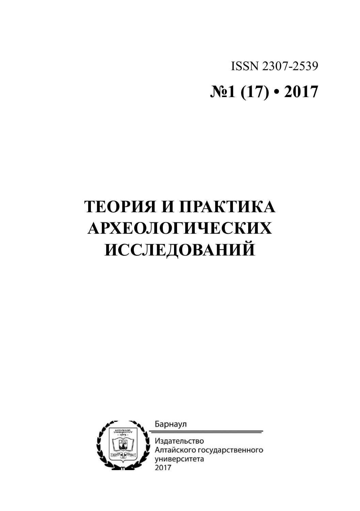ISSN 2307-2539 **№1 (17) • 2017**

# **ТЕОРИЯ И ПРАКТИКА АРХЕОЛОГИЧЕСКИХ ИССЛЕДОВАНИЙ**

Барнаул



Издательство Алтайского государственного университета 2017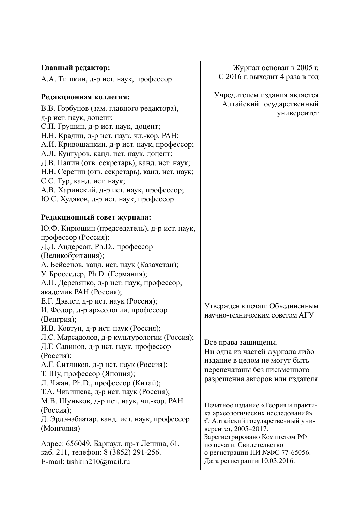| Главный редактор:                                                                                                                                                                                                                                                                                                                                                                                                                                                                                   | Журнал основан в 2005 г.                                                                                                                                  |
|-----------------------------------------------------------------------------------------------------------------------------------------------------------------------------------------------------------------------------------------------------------------------------------------------------------------------------------------------------------------------------------------------------------------------------------------------------------------------------------------------------|-----------------------------------------------------------------------------------------------------------------------------------------------------------|
| А.А. Тишкин, д-р ист. наук, профессор                                                                                                                                                                                                                                                                                                                                                                                                                                                               | С 2016 г. выходит 4 раза в год                                                                                                                            |
| Редакционная коллегия:<br>В.В. Горбунов (зам. главного редактора),<br>д-р ист. наук, доцент;<br>С.П. Грушин, д-р ист. наук, доцент;<br>Н.Н. Крадин, д-р ист. наук, чл.-кор. РАН;<br>А.И. Кривошапкин, д-р ист. наук, профессор;<br>А.Л. Кунгуров, канд. ист. наук, доцент;<br>Д.В. Папин (отв. секретарь), канд. ист. наук;<br>Н.Н. Серегин (отв. секретарь), канд. ист. наук;<br>С.С. Тур, канд. ист. наук;<br>А.В. Харинский, д-р ист. наук, профессор;<br>Ю.С. Худяков, д-р ист. наук, профессор | Учредителем издания является<br>Алтайский государственный<br>университет                                                                                  |
| Редакционный совет журнала:                                                                                                                                                                                                                                                                                                                                                                                                                                                                         |                                                                                                                                                           |
| Ю.Ф. Кирюшин (председатель), д-р ист. наук,<br>профессор (Россия);<br>Д.Д. Андерсон, Ph.D., профессор<br>(Великобритания);<br>А. Бейсенов, канд. ист. наук (Казахстан);<br>У. Бросседер, Ph.D. (Германия);<br>А.П. Деревянко, д-р ист. наук, профессор,<br>академик РАН (Россия);<br>Е.Г. Дэвлет, д-р ист. наук (Россия);<br>И. Фодор, д-р археологии, профессор                                                                                                                                    | Утвержден к печати Объединенным<br>научно-техническим советом АГУ                                                                                         |
| (Венгрия);<br>И.В. Ковтун, д-р ист. наук (Россия);<br>Л.С. Марсадолов, д-р культурологии (Россия);<br>Д.Г. Савинов, д-р ист. наук, профессор<br>(Россия);<br>А.Г. Ситдиков, д-р ист. наук (Россия);<br>Т. Шу, профессор (Япония);<br>Л. Чжан, Ph.D., профессор (Китай);<br>Т.А. Чикишева, д-р ист. наук (Россия);                                                                                                                                                                                   | Все права защищены.<br>Ни одна из частей журнала либо<br>издание в целом не могут быть<br>перепечатаны без письменного<br>разрешения авторов или издателя |
| М.В. Шуньков, д-р ист. наук, чл.-кор. РАН<br>(Россия);<br>Д. Эрдэнэбаатар, канд. ист. наук, профессор<br>(Монголия)                                                                                                                                                                                                                                                                                                                                                                                 | Печатное издание «Теория и практи-<br>ка археологических исследований»<br>© Алтайский государственный уни-<br>верситет, 2005-2017.                        |
| Адрес: 656049, Барнаул, пр-т Ленина, 61,<br>каб. 211, телефон: 8 (3852) 291-256.<br>E-mail: tishkin210@mail.ru                                                                                                                                                                                                                                                                                                                                                                                      | Зарегистрировано Комитетом РФ<br>по печати. Свидетельство<br>о регистрации ПИ №ФС 77-65056.<br>Дата регистрации 10.03.2016.                               |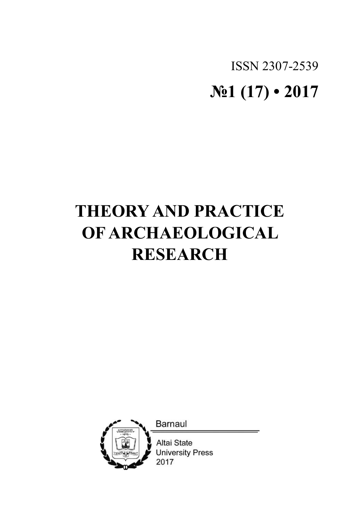# ISSN 2307-2539 **№1 (17) • 2017**

# **THEORY AND PRACTICE OF ARCHAEOLOGICAL RESEARCH**

**Barnaul** 



Altai State **University Press** 2017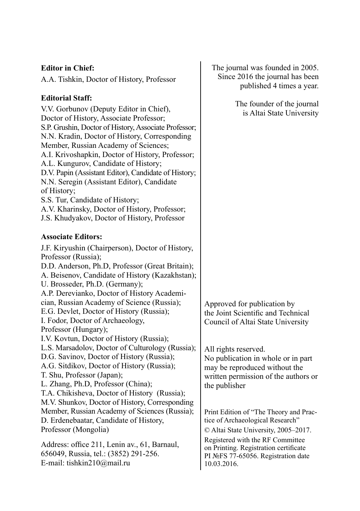## **Editor in chief:**

A.A. Tishkin, Doctor of History, Professor

## **Editorial staff:**

V.V. Gorbunov (Deputy Editor in Chief), Doctor of History, Associate Professor; S.P. Grushin, Doctor of History, Associate Professor; N.N. Kradin, Doctor of History, Corresponding Member, Russian Academy of Sciences; A.I. Krivoshapkin, Doctor of History, Professor; A.L. Kungurov, Candidate of History; D.V. Papin (Assistant Editor), Candidate of History; N.N. Seregin (Assistant Editor), Candidate of History; S.S. Tur, Candidate of History; A.V. Kharinsky, Doctor of History, Professor; J.S. Khudyakov, Doctor of History, Professor **Associate editors:** J.F. Kiryushin (Chairperson), Doctor of History, Professor (Russia); D.D. Anderson, Ph.D, Professor (Great Britain);

A. Beisenov, Candidate of History (Kazakhstan);

U. Brosseder, Ph.D. (Germany);

A.P. Derevianko, Doctor of History Academi-

cian, Russian Academy of Science (Russia);

E.G. Devlet, Doctor of History (Russia);

I. Fodor, Doctor of Archaeology,

Professor (Hungary);

I.V. Kovtun, Doctor of History (Russia);

L.S. Marsadolov, Doctor of Culturology (Russia);

D.G. Savinov, Doctor of History (Russia);

A.G. Sitdikov, Doctor of History (Russia);

T. Shu, Professor (Japan);

L. Zhang, Ph.D, Professor (China);

T.A. Chikisheva, Doctor of History (Russia); M.V. Shunkov, Doctor of History, Corresponding Member, Russian Academy of Sciences (Russia);

D. Erdenebaatar, Candidate of History, Professor (Mongolia)

Address: office 211, Lenin av., 61, Barnaul, 656049, Russia, tel.: (3852) 291-256. E-mail: tishkin210@mail.ru

The journal was founded in 2005. Since 2016 the journal has been published 4 times a year.

> The founder of the journal is Altai State University

Approved for publication by the Joint Scientific and Technical Сouncil of Altai State University

All rights reserved. No publication in whole or in part may be reproduced without the written permission of the authors or the publisher

Print Edition of "The Theory and Practice of Archaeological Research"

© Altai State University, 2005–2017.

Registered with the RF Committee on Printing. Registration certificate PI №FS 77-65056. Registration date 10.03.2016.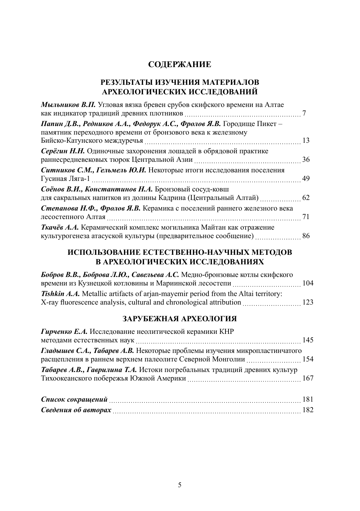## **СОДЕРЖАНИЕ**

## **РЕЗУЛЬТАТЫ ИЗУЧЕНИЯ МАТЕРИАЛОВ АРХЕОЛОГИЧЕСКИХ ИССЛЕДОВАНИЙ**

| Мыльников В.П. Угловая вязка бревен срубов скифского времени на Алтае        |  |
|------------------------------------------------------------------------------|--|
| <b>Папин Д.В., Редников А.А., Федорук А.С., Фролов Я.В.</b> Городище Пикет – |  |
| памятник переходного времени от бронзового века к железному                  |  |
| Серёгин Н.Н. Одиночные захоронения лошадей в обрядовой практике              |  |
| Ситников С.М., Гельмель Ю.И. Некоторые итоги исследования поселения          |  |
| Соёнов В.И., Константинов Н.А. Бронзовый сосуд-ковш                          |  |
| для сакральных напитков из долины Кадрина (Центральный Алтай)  62            |  |
| Степанова Н.Ф., Фролов Я.В. Керамика с поселений раннего железного века      |  |
| Ткачёв А.А. Керамический комплекс могильника Майтан как отражение            |  |

## **ИСПОЛЬЗОВАНИЕ ЕСТЕСТВЕННО-НАУЧНЫХ МЕТОДОВ В АРХЕОЛОГИЧЕСКИХ ИССЛЕДОВАНИЯХ**

| Бобров В.В., Боброва Л.Ю., Савельева А.С. Медно-бронзовые котлы скифского         |  |
|-----------------------------------------------------------------------------------|--|
|                                                                                   |  |
| Tishkin A.A. Metallic artifacts of arjan-mayemir period from the Altai territory: |  |
| X-ray fluorescence analysis, cultural and chronological attribution 223           |  |

## **зарубежная археология**

| Гирченко Е.А. Исследование неолитической керамики КНР                                                                                       |  |
|---------------------------------------------------------------------------------------------------------------------------------------------|--|
|                                                                                                                                             |  |
| Гладышев С.А., Табарев А.В. Некоторые проблемы изучения микропластинчатого<br>расщепления в раннем верхнем палеолите Северной Монголии  154 |  |
| Табарев А.В., Гаврилина Т.А. Истоки погребальных традиций древних культур                                                                   |  |
|                                                                                                                                             |  |
|                                                                                                                                             |  |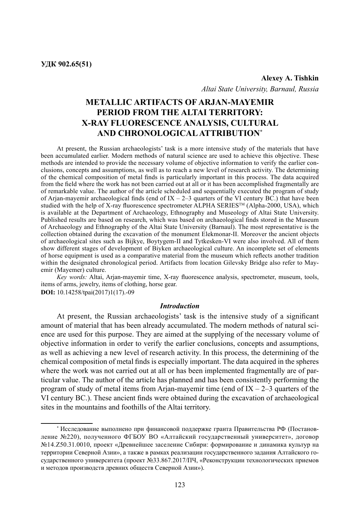*Altai State University, Barnaul, Russia*

# **Metallic artifacts of Arjan-mayemir period from the Altai territory: X-ray fluorescence analysis, cultural and chronologicalattribution\***

At present, the Russian archaeologists' task is a more intensive study of the materials that have been accumulated earlier. Modern methods of natural science are used to achieve this objective. These methods are intended to provide the necessary volume of objective information to verify the earlier conclusions, concepts and assumptions, as well as to reach a new level of research activity. The determining of the chemical composition of metal finds is particularly important in this process. The data acquired from the field where the work has not been carried out at all or it has been accomplished fragmentally are of remarkable value. The author of the article scheduled and sequentially executed the program of study of Arjan-mayemir archaeological finds (end of  $IX - 2-3$  quarters of the VI century BC.) that have been studied with the help of X-ray fluorescence spectrometer  $\hat{A}$  LPHA SERIES<sup>TM</sup> (Alpha-2000, USA), which is available at the Department of archaeology, ethnography and museology of Altai State University. Published results are based on research, which was based on archaeological finds stored in the Museum of Archaeology and Ethnography of the Altai State University (Barnaul). The most representative is the collection obtained during the excavation of the monument Elekmonar-II. Moreover the ancient objects of archaeological sites such as Bijkye, Boytygem-II and Tytkesken-VI were also involved. All of them show different stages of development of Biyken archaeological culture. An incomplete set of elements of horse equipment is used as a comparative material from the museum which reflects another tradition within the designated chronological period. Artifacts from location Gilevsky Bridge also refer to Mayemir (Mayemer) culture.

*Key words:* Altai, Arjan-mayemir time, X-ray fluorescence analysis, spectrometer, museum, tools, items of arms, jewelry, items of clothing, horse gear. **DOI:** 10.14258/tpai(2017)1(17).-09

#### *Introduction*

At present, the Russian archaeologists' task is the intensive study of a significant amount of material that has been already accumulated. The modern methods of natural science are used for this purpose. They are aimed at the supplying of the necessary volume of objective information in order to verify the earlier conclusions, concepts and assumptions, as well as achieving a new level of research activity. In this process, the determining of the chemical composition of metal finds is especially important. The data acquired in the spheres where the work was not carried out at all or has been implemented fragmentally are of particular value. The author of the article has planned and has been consistently performing the program of study of metal items from Arjan-mayemir time (end of  $IX - 2-3$  quarters of the VI century BC.). These ancient finds were obtained during the excavation of archaeological sites in the mountains and foothills of the Altai territory.

<sup>\*</sup> Исследование выполнено при финансовой поддержке гранта Правительства РФ (Постановление №220), полученного ФГБОУ ВО «Алтайский государственный университет», договор №14.Z50.31.0010, проект «Древнейшее заселение Сибири: формирование и динамика культур на территории Северной Азии», а также в рамках реализации государственного задания Алтайского государственного университета (проект №33.867.2017/ПЧ, «Реконструкции технологических приемов и методов производств древних обществ Северной Азии»).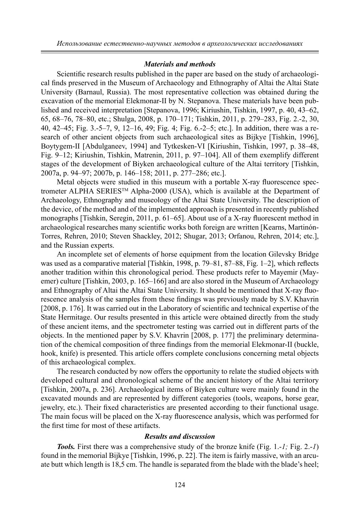#### *Materials and methods*

Scientific research results published in the paper are based on the study of archaeological finds preserved in the Museum of Archaeology and Ethnography of Altai the Altai State University (Barnaul, Russia). The most representative collection was obtained during the excavation of the memorial Elekmonar-II by N. Stepanova. These materials have been published and received interpretation [Stepanova, 1996; Kiriushin, Tishkin, 1997, p. 40, 43–62, 65, 68–76, 78–80, etc.; Shulga, 2008, p. 170–171; Tishkin, 2011, p. 279–283, Fig. 2.-2, 30, 40, 42–45; Fig. 3.-5–7, 9, 12–16, 49; Fig. 4; Fig. 6.-2–5; etc.]. In addition, there was a research of other ancient objects from such archaeological sites as Bijkye [Tishkin, 1996], Boytygem-II [Abdulganeev, 1994] and Tytkesken-VI [Kiriushin, Tishkin, 1997, p. 38–48, Fig. 9–12; Kiriushin, Tishkin, Matrenin, 2011, p. 97–104]. All of them exemplify different stages of the development of Biyken archaeological culture of the Altai territory [Tishkin, 2007a, p. 94–97; 2007b, p. 146–158; 2011, р. 277–286; etc.].

Metal objects were studied in this museum with a portable X-ray fluorescence spectrometer ALPHA SERIESTM Alpha-2000 (USA), which is available at the Department of Archaeology, Ethnography and museology of the Altai State University. The description of the device, of the method and of the implemented approach is presented in recently published monographs [Tishkin, Seregin, 2011, p. 61–65]. About use of a X-ray fluorescent method in archaeological researches many scientific works both foreign are written [Kearns, Martinón-Torres, Rehren, 2010; Steven Shackley, 2012; Shugar, 2013; Orfanou, Rehren, 2014; etc.], and the Russian experts.

An incomplete set of elements of horse equipment from the location Gilevsky Bridge was used as a comparative material [Tishkin, 1998, p. 79–81, 87–88, Fig. 1–2], which reflects another tradition within this chronological period. These products refer to Mayemir (Mayemer) culture [Tishkin, 2003, p. 165–166] and are also stored in the Museum of Archaeology and Ethnography of Altai the Altai State University. It should be mentioned that X-ray fluorescence analysis of the samples from these findings was previously made by S.V. Khavrin [2008, p. 176]. It was carried out in the Laboratory of scientific and technical expertise of the State Hermitage. Our results presented in this article were obtained directly from the study of these ancient items, and the spectrometer testing was carried out in different parts of the objects. In the mentioned paper by S.V. Khavrin [2008, p. 177] the preliminary determination of the chemical composition of three findings from the memorial Elekmonar-II (buckle, hook, knife) is presented. This article offers complete conclusions concerning metal objects of this archaeological complex.

The research conducted by now offers the opportunity to relate the studied objects with developed cultural and chronological scheme of the ancient history of the Altai territory [Tishkin, 2007a, p. 236]. Archaeological items of Biyken culture were mainly found in the excavated mounds and are represented by different categories (tools, weapons, horse gear, jewelry, etc.). Their fixed characteristics are presented according to their functional usage. The main focus will be placed on the X-ray fluorescence analysis, which was performed for the first time for most of these artifacts.

### *Results and discussion*

*Tools.* First there was a comprehensive study of the bronze knife (Fig. 1.-*1;* Fig. 2.-*1*) found in the memorial Bijkye [Tishkin, 1996, p. 22]. The item is fairly massive, with an arcuate butt which length is 18,5 cm. The handle is separated from the blade with the blade's heel;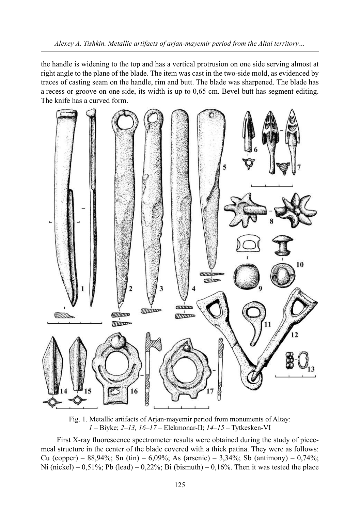the handle is widening to the top and has a vertical protrusion on one side serving almost at right angle to the plane of the blade. The item was cast in the two-side mold, as evidenced by traces of casting seam on the handle, rim and butt. The blade was sharpened. The blade has a recess or groove on one side, its width is up to 0,65 cm. Bevel butt has segment editing. The knife has a curved form.



Fig. 1. Metallic artifacts of Arjan-mayemir period from monuments of Altay: *1* – Biyke; *2–13, 16–17* – Elekmonar-II; *14–15* – Tytkesken-VI

First X-ray fluorescence spectrometer results were obtained during the study of piecemeal structure in the center of the blade covered with a thick patina. They were as follows: Cu (copper) – 88,94%; Sn (tin) – 6,09%; As (arsenic) – 3,34%; Sb (antimony) – 0,74%; Ni (nickel) – 0,51%; Pb (lead) – 0,22%; Bi (bismuth) – 0,16%. Then it was tested the place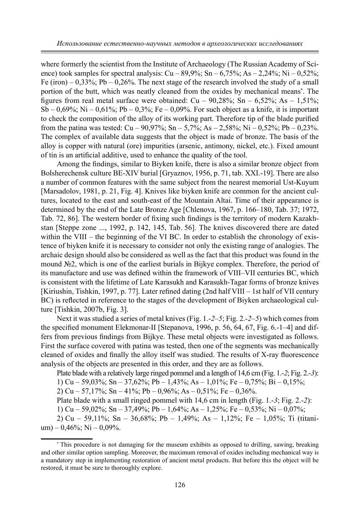where formerly the scientist from the Institute of Archaeology (The Russian Academy of Science) took samples for spectral analysis:  $Cu - 89.9\%$ ;  $Sn - 6.75\%$ ;  $As - 2.24\%$ ;  $Ni - 0.52\%$ ; Fe (iron) –  $0.33\%$ ; Pb –  $0.26\%$ . The next stage of the research involved the study of a small portion of the butt, which was neatly cleaned from the oxides by mechanical means\* . The figures from real metal surface were obtained:  $Cu - 90,28\%$ ; Sn  $- 6,52\%$ ; As  $- 1,51\%$ ; Sb – 0,69%; Ni – 0,61%; Pb – 0,3%; Fe – 0,09%. For such object as a knife, it is important to check the composition of the alloy of its working part. Therefore tip of the blade purified from the patina was tested:  $Cu - 90,97\%$ ; Sn – 5,7%; As – 2,58%; Ni – 0,52%; Pb – 0,23%. The complex of available data suggests that the object is made of bronze. The basis of the alloy is copper with natural (ore) impurities (arsenic, antimony, nickel, etc.). Fixed amount of tin is an artificial additive, used to enhance the quality of the tool.

Among the findings, similar to Biyken knife, there is also a similar bronze object from Bolsherechensk culture BE-XIV burial [Gryaznov, 1956, p. 71, tab. XXI.-19]. There are also a number of common features with the same subject from the nearest memorial Ust-Kuyum [Marsadolov, 1981, p. 21, Fig. 4]. Knives like biyken knife are common for the ancient cultures, located to the east and south-east of the Mountain Altai. Time of their appearance is determined by the end of the Late Bronze Age [Chlenova, 1967, p. 166–180, Tab. 37; 1972, Tab. 72, 86]. The western border of fixing such findings is the territory of modern Kazakhstan [Steppe zone ..., 1992, p. 142, 145, Tab. 56]. The knives discovered there are dated within the VIII – the beginning of the VI BC. In order to establish the chronology of existence of biyken knife it is necessary to consider not only the existing range of analogies. The archaic design should also be considered as well as the fact that this product was found in the mound №2, which is one of the earliest burials in Bijkye complex. Therefore, the period of its manufacture and use was defined within the framework of VIII–VII centuries BC, which is consistent with the lifetime of Late Karasukh and Karasukh-Tagar forms of bronze knives [Kiriushin, Tishkin, 1997, p. 77]. Later refined dating (2nd half VIII – 1st half of VII century BC) is reflected in reference to the stages of the development of Biyken archaeological culture [Tishkin, 2007b, Fig. 3].

Next it was studied a series of metal knives (Fig. 1.-*2–5*; Fig. 2.-*2–5*) which comes from the specified monument Elekmonar-II [Stepanova, 1996, p. 56, 64, 67, Fig. 6.-1–4] and differs from previous findings from Bijkye. These metal objects were investigated as follows. First the surface covered with patina was tested, then one of the segments was mechanically cleaned of oxides and finally the alloy itself was studied. The results of X-ray fluorescence analysis of the objects are presented in this order, and they are as follows.

Plate blade with a relatively large ringed pommel and a length of 14,6 cm (Fig. 1.-*2*; Fig. 2.-*3*):

1) Cu – 59,03%; Sn – 37,62%; Pb – 1,43%; As – 1,01%; Fe – 0,75%; Bi – 0,15%;

2) Cu – 57,17%; Sn – 41%; Pb – 0,96%; As – 0,51%; Fe – 0,36%.

Plate blade with a small ringed pommel with 14,6 cm in length (Fig. 1.-*3*; Fig. 2.-*2*):

1) Cu – 59,02%; Sn – 37,49%; Pb – 1,64%; As – 1,25%; Fe – 0,53%; Ni – 0,07%;

2) Cu – 59,11%; Sn – 36,68%; Pb – 1,49%; As – 1,12%; Fe – 1,05%; Ti (titanium) – 0,46%; Ni – 0,09%.

<sup>\*</sup> This procedure is not damaging for the museum exhibits as opposed to drilling, sawing, breaking and other similar option sampling. Moreover, the maximum removal of oxides including mechanical way is a mandatory step in implementing restoration of ancient metal products. But before this the object will be restored, it must be sure to thoroughly explore.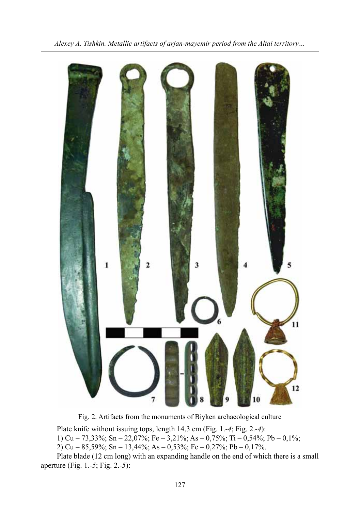

Fig. 2. Artifacts from the monuments of Biyken archaeological culture

Plate knife without issuing tops, length 14,3 cm (Fig. 1.-*4*; Fig. 2.-*4*):

1) Cu – 73,33%; Sn – 22,07%; Fe – 3,21%; As – 0,75%; Ti – 0,54%; Pb – 0,1%;

2) Cu – 85,59%; Sn – 13,44%; As – 0,53%; Fe – 0,27%; Pb – 0,17%.

Plate blade (12 cm long) with an expanding handle on the end of which there is a small aperture (Fig. 1.-*5*; Fig. 2.-*5*):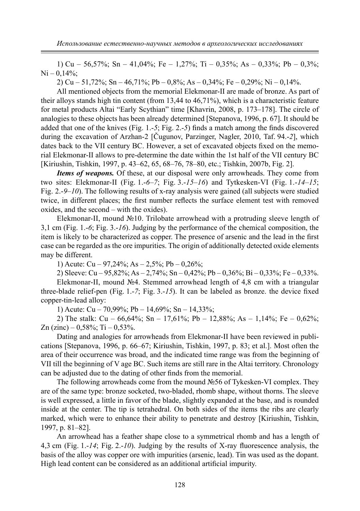1) Cu – 56,57%; Sn – 41,04%; Fe – 1,27%; Ti – 0,35%; As – 0,33%; Pb – 0,3%;  $Ni - 0.14\%$ ;

2) Cu – 51,72%; Sn – 46,71%; Pb – 0,8%; As – 0,34%; Fe – 0,29%; Ni – 0,14%.

All mentioned objects from the memorial Elekmonar-II are made of bronze. As part of their alloys stands high tin content (from 13,44 to 46,71%), which is a characteristic feature for metal products Altai "Early Scythian" time [Khavrin, 2008, p. 173–178]. The circle of analogies to these objects has been already determined [Stepanova, 1996, p. 67]. It should be added that one of the knives (Fig. 1.-*5*; Fig. 2.-*5*) finds a match among the finds discovered during the excavation of Arzhan-2 [Čugunov, Parzinger, Nagler, 2010, Taf. 94.-*2*], which dates back to the VII century BC. However, a set of excavated objects fixed on the memorial Elekmonar-II allows to pre-determine the date within the 1st half of the VII century BC [Kiriushin, Tishkin, 1997, p. 43–62, 65, 68–76, 78–80, etc.; Tishkin, 2007b, Fig. 2].

*Items of weapons.* Of these, at our disposal were only arrowheads. They come from two sites: Elekmonar-II (Fig. 1.-*6–7*; Fig. 3.-*15–16*) and Tytkesken-VI (Fig. 1.-*14–15*; Fig. 2.-*9–10*). The following results of x-ray analysis were gained (all subjects were studied twice, in different places; the first number reflects the surface element test with removed oxides, and the second – with the oxides).

Elekmonar-II, mound №10. Trilobate arrowhead with a protruding sleeve length of 3,1 cm (Fig. 1.-*6*; Fig. 3.-*16*). Judging by the performance of the chemical composition, the item is likely to be characterized as copper. The presence of arsenic and the lead in the first case can be regarded as the ore impurities. The origin of additionally detected oxide elements may be different.

1) Acute: Cu – 97,24%; As – 2,5%; Pb – 0,26%;

2) Sleeve: Cu – 95,82%; As – 2,74%; Sn – 0,42%; Pb – 0,36%; Bi – 0,33%; Fe – 0,33%.

Elekmonar-II, mound №4. Stemmed arrowhead length of 4,8 cm with a triangular three-blade relief-pen (Fig. 1.-*7*; Fig. 3.-*15*). It can be labeled as bronze. the device fixed copper-tin-lead alloy:

1) Acute: Cu – 70,99%; Pb – 14,69%; Sn – 14,33%;

2) The stalk: Cu – 66,64%; Sn – 17,61%; Pb – 12,88%; As – 1,14%; Fe – 0,62%; Zn  $(zinc)$  – 0,58%; Ti – 0,53%.

Dating and analogies for arrowheads from Elekmonar-II have been reviewed in publications [Stepanova, 1996, p. 66–67; Kiriushin, Tishkin, 1997, p. 83; et al.]. Most often the area of their occurrence was broad, and the indicated time range was from the beginning of VII till the beginning of V age BC. Such items are still rare in the Altai territory. Chronology can be adjusted due to the dating of other finds from the memorial.

The following arrowheads come from the mound №56 of Tykesken-VI complex. They are of the same type: bronze socketed, two-bladed, rhomb shape, without thorns. The sleeve is well expressed, a little in favor of the blade, slightly expanded at the base, and is rounded inside at the center. The tip is tetrahedral. On both sides of the items the ribs are clearly marked, which were to enhance their ability to penetrate and destroy [Kiriushin, Tishkin, 1997, p. 81–82].

An arrowhead has a feather shape close to a symmetrical rhomb and has a length of 4,3 cm (Fig. 1.-*14*; Fig. 2.-*10*). Judging by the results of X-ray fluorescence analysis, the basis of the alloy was copper ore with impurities (arsenic, lead). Tin was used as the dopant. High lead content can be considered as an additional artificial impurity.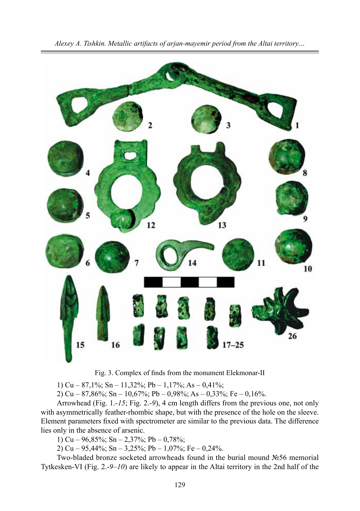

Fig. 3. Complex of finds from the monument Elekmonar-II

1) Cu – 87,1%; Sn – 11,32%; Pb – 1,17%; As – 0,41%;

2) Cu – 87,86%; Sn – 10,67%; Pb – 0,98%; As – 0,33%; Fe – 0,16%.

Arrowhead (Fig. 1.-*15*; Fig. 2.-*9*), 4 cm length differs from the previous one, not only with asymmetrically feather-rhombic shape, but with the presence of the hole on the sleeve. Element parameters fixed with spectrometer are similar to the previous data. The difference lies only in the absence of arsenic.

1) Cu – 96,85%; Sn – 2,37%; Pb – 0,78%;

2) Cu – 95,44%; Sn – 3,25%; Pb – 1,07%; Fe – 0,24%.

Two-bladed bronze socketed arrowheads found in the burial mound №56 memorial Tytkesken-VI (Fig. 2.-*9–10*) are likely to appear in the Altai territory in the 2nd half of the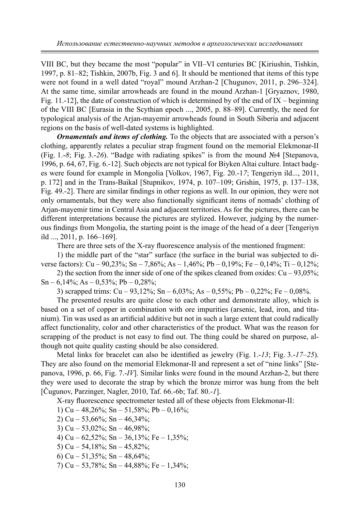VIII BC, but they became the most "popular" in VII–VI centuries BC [Kiriushin, Tishkin, 1997, p. 81–82; Tishkin, 2007b, Fig. 3 and 6]. It should be mentioned that items of this type were not found in a well dated "royal" mound Arzhan-2 [Chugunov, 2011, p. 296–324]. At the same time, similar arrowheads are found in the mound Arzhan-1 [Gryaznov, 1980, Fig. 11.-12], the date of construction of which is determined by of the end of  $IX$  – beginning of the VIII BC [Eurasia in the Scythian epoch ..., 2005, p. 88–89]. Currently, the need for typological analysis of the Arjan-mayemir arrowheads found in South Siberia and adjacent regions on the basis of well-dated systems is highlighted.

*Ornamentals and items of clothing.* To the objects that are associated with a person's clothing, apparently relates a peculiar strap fragment found on the memorial Elekmonar-II (Fig. 1.-*8*; Fig. 3.-*26*). "Badge with radiating spikes" is from the mound №4 [Stepanova, 1996, p. 64, 67, Fig. 6.-12]. Such objects are not typical for Biyken Altai culture. Intact badges were found for example in Mongolia [Volkov, 1967, Fig. 20.-1*7*; Tengeriyn ild..., 2011, p. 172] and in the Trans-Baikal [Stupnikov, 1974, p. 107–109; Grishin, 1975, p. 137–138, Fig. 49.-2]. There are similar findings in other regions as well. In our opinion, they were not only ornamentals, but they were also functionally significant items of nomads' clothing of Arjan-mayemir time in Central Asia and adjacent territories. As for the pictures, there can be different interpretations because the pictures are stylized. However, judging by the numerous findings from Mongolia, the starting point is the image of the head of a deer [Tengeriyn ild ..., 2011, p. 166–169].

There are three sets of the X-ray fluorescence analysis of the mentioned fragment:

1) the middle part of the "star" surface (the surface in the burial was subjected to diverse factors): Cu – 90,23%; Sn – 7,86%; As – 1,46%; Pb – 0,19%; Fe – 0,14%; Ti – 0,12%;

2) the section from the inner side of one of the spikes cleaned from oxides: Cu – 93,05%; Sn – 6,14%; As – 0,53%; Pb – 0,28%;

3) scrapped trims:  $Cu - 93,12\%$ ; Sn – 6,03%; As – 0,55%; Pb – 0,22%; Fe – 0,08%.

The presented results are quite close to each other and demonstrate alloy, which is based on a set of copper in combination with ore impurities (arsenic, lead, iron, and titanium). Tin was used as an artificial additive but not in such a large extent that could radically affect functionality, color and other characteristics of the product. What was the reason for scrapping of the product is not easy to find out. The thing could be shared on purpose, although not quite quality casting should be also considered.

Metal links for bracelet can also be identified as jewelry (Fig. 1.-*13*; Fig. 3.-*17–25*). They are also found on the memorial Elekmonar-II and represent a set of "nine links" [Stepanova, 1996, p. 66, Fig. 7.-*IV*]. Similar links were found in the mound Arzhan-2, but there they were used to decorate the strap by which the bronze mirror was hung from the belt [Čugunov, Parzinger, Nagler, 2010, Taf. 66.-6b; Taf. 80.-*1*].

X-ray fluorescence spectrometer tested all of these objects from Elekmonar-II:

1) Cu – 48,26%; Sn – 51,58%; Pb – 0,16%;

- 2) Cu 53,66%; Sn 46,34%;
- 3) Cu 53,02%; Sn 46,98%;
- 4) Cu  $62,52\%$ ; Sn  $36,13\%$ ; Fe  $1,35\%$ ;
- 5) Cu 54,18%; Sn 45,82%;
- 6) Cu 51,35%; Sn 48,64%;
- 7) Cu 53,78%; Sn 44,88%; Fe 1,34%;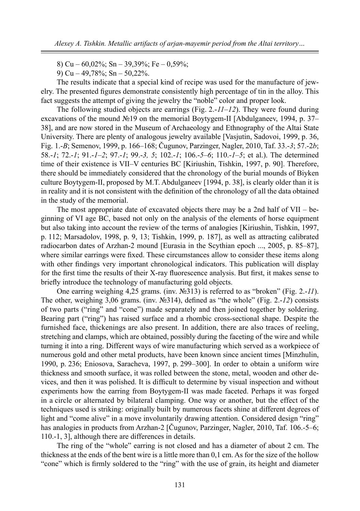8) Cu – 60,02%; Sn – 39,39%; Fe – 0,59%;

9) Cu – 49,78%; Sn – 50,22%.

The results indicate that a special kind of recipe was used for the manufacture of jewelry. The presented figures demonstrate consistently high percentage of tin in the alloy. This fact suggests the attempt of giving the jewelry the "noble" color and proper look.

The following studied objects are earrings (Fig. 2.-*11–12*). They were found during excavations of the mound №19 on the memorial Boytygem-II [Abdulganeev, 1994, p. 37– 38], and are now stored in the Museum of Archaeology and Ethnography of the Altai State University. There are plenty of analogous jewelry available [Vasjutin, Sadovoi, 1999, p. 36, Fig. 1.-*B*; Semenov, 1999, p. 166–168; Čugunov, Parzinger, Nagler, 2010, Taf. 33.-*3*; 57.-2*b*; 58.-*1*; 72.-*1*; 91.-*1–2*; 97.-*1*; 99.-*3, 5*; 102.-*1*; 106.-*5–6*; 110.-*1–5*; et al.). The determined time of their existence is VII–V centuries BC [Kiriushin, Tishkin, 1997, p. 90]. Therefore, there should be immediately considered that the chronology of the burial mounds of Biyken culture Boytygem-II, proposed by M.T. Abdulganeev [1994, p. 38], is clearly older than it is in reality and it is not consistent with the definition of the chronology of all the data obtained in the study of the memorial.

The most appropriate date of excavated objects there may be a 2nd half of  $VII - be$ ginning of VI age BC, based not only on the analysis of the elements of horse equipment but also taking into account the review of the terms of analogies [Kiriushin, Tishkin, 1997, p. 112; Marsadolov, 1998, p. 9, 13; Tishkin, 1999, p. 187], as well as attracting calibrated radiocarbon dates of Arzhan-2 mound [Eurasia in the Scythian epoch ..., 2005, p. 85–87], where similar earrings were fixed. These circumstances allow to consider these items along with other findings very important chronological indicators. This publication will display for the first time the results of their X-ray fluorescence analysis. But first, it makes sense to briefly introduce the technology of manufacturing gold objects.

One earring weighing 4,25 grams. (inv. №313) is referred to as "broken" (Fig. 2.-*11*). The other, weighing 3,06 grams. (inv. №314), defined as "the whole" (Fig. 2.-*12*) consists of two parts ("ring" and "cone") made separately and then joined together by soldering. Bearing part ("ring") has raised surface and a rhombic cross-sectional shape. Despite the furnished face, thickenings are also present. In addition, there are also traces of reeling, stretching and clamps, which are obtained, possibly during the faceting of the wire and while turning it into a ring. Different ways of wire manufacturing which served as a workpiece of numerous gold and other metal products, have been known since ancient times [Minzhulin, 1990, p. 236; Eniosova, Saracheva, 1997, p. 299–300]. In order to obtain a uniform wire thickness and smooth surface, it was rolled between the stone, metal, wooden and other devices, and then it was polished. It is difficult to determine by visual inspection and without experiments how the earring from Boytygem-II was made faceted. Perhaps it was forged in a circle or alternated by bilateral clamping. One way or another, but the effect of the techniques used is striking: originally built by numerous facets shine at different degrees of light and "come alive" in a move involuntarily drawing attention. Considered design "ring" has analogies in products from Arzhan-2 [Čugunov, Parzinger, Nagler, 2010, Taf. 106.-5–6; 110.-1, 3], although there are differences in details.

The ring of the "whole" earring is not closed and has a diameter of about 2 cm. The thickness at the ends of the bent wire is a little more than 0,1 cm. As for the size of the hollow "cone" which is firmly soldered to the "ring" with the use of grain, its height and diameter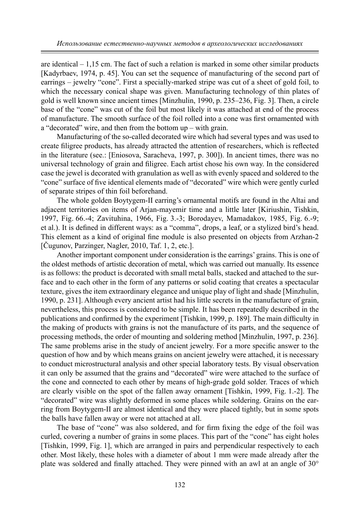are identical  $-1.15$  cm. The fact of such a relation is marked in some other similar products [Kadyrbaev, 1974, p. 45]. You can set the sequence of manufacturing of the second part of earrings – jewelry "cone". First a specially-marked stripe was cut of a sheet of gold foil, to which the necessary conical shape was given. Manufacturing technology of thin plates of gold is well known since ancient times [Minzhulin, 1990, p. 235–236, Fig. 3]. Then, a circle base of the "cone" was cut of the foil but most likely it was attached at end of the process of manufacture. The smooth surface of the foil rolled into a cone was first ornamented with a "decorated" wire, and then from the bottom up – with grain.

Manufacturing of the so-called decorated wire which had several types and was used to create filigree products, has already attracted the attention of researchers, which is reflected in the literature (see.: [Eniosova, Saracheva, 1997, p. 300]). In ancient times, there was no universal technology of grain and filigree. Each artist chose his own way. In the considered case the jewel is decorated with granulation as well as with evenly spaced and soldered to the "cone" surface of five identical elements made of "decorated" wire which were gently curled of separate stripes of thin foil beforehand.

The whole golden Boytygem-II earring's ornamental motifs are found in the Altai and adjacent territories on items of Arjan-mayemir time and a little later [Kiriushin, Tishkin, 1997, Fig. 66.-4; Zavituhina, 1966, Fig. 3.-3; Borodayev, Mamadakov, 1985, Fig. 6.-9; et al.). It is defined in different ways: as a "comma", drops, a leaf, or a stylized bird's head. This element as a kind of original fine module is also presented on objects from Arzhan-2 [Čugunov, Parzinger, Nagler, 2010, Taf. 1, 2, etc.].

Another important component under consideration is the earrings' grains. This is one of the oldest methods of artistic decoration of metal, which was carried out manually. Its essence is as follows: the product is decorated with small metal balls, stacked and attached to the surface and to each other in the form of any patterns or solid coating that creates a spectacular texture, gives the item extraordinary elegance and unique play of light and shade [Minzhulin, 1990, p. 231]. Although every ancient artist had his little secrets in the manufacture of grain, nevertheless, this process is considered to be simple. It has been repeatedly described in the publications and confirmed by the experiment [Tishkin, 1999, p. 189]. The main difficulty in the making of products with grains is not the manufacture of its parts, and the sequence of processing methods, the order of mounting and soldering method [Minzhulin, 1997, p. 236]. The same problems arise in the study of ancient jewelry. For a more specific answer to the question of how and by which means grains on ancient jewelry were attached, it is necessary to conduct microstructural analysis and other special laboratory tests. By visual observation it can only be assumed that the grains and "decorated" wire were attached to the surface of the cone and connected to each other by means of high-grade gold solder. Traces of which are clearly visible on the spot of the fallen away ornament [Tishkin, 1999, Fig. 1.-2]. The "decorated" wire was slightly deformed in some places while soldering. Grains on the earring from Boytygem-II are almost identical and they were placed tightly, but in some spots the balls have fallen away or were not attached at all.

The base of "cone" was also soldered, and for firm fixing the edge of the foil was curled, covering a number of grains in some places. This part of the "cone" has eight holes [Tishkin, 1999, Fig. 1], which are arranged in pairs and perpendicular respectively to each other. Most likely, these holes with a diameter of about 1 mm were made already after the plate was soldered and finally attached. They were pinned with an awl at an angle of 30°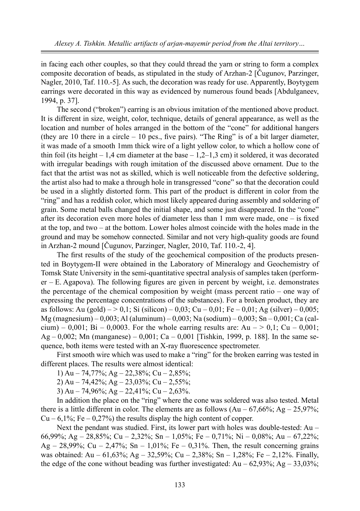in facing each other couples, so that they could thread the yarn or string to form a complex composite decoration of beads, as stipulated in the study of Arzhan-2 [Čugunov, Parzinger, Nagler, 2010, Taf. 110.-5]. As such, the decoration was ready for use. Apparently, Boytygem earrings were decorated in this way as evidenced by numerous found beads [Abdulganeev, 1994, p. 37].

The second ("broken") earring is an obvious imitation of the mentioned above product. It is different in size, weight, color, technique, details of general appearance, as well as the location and number of holes arranged in the bottom of the "cone" for additional hangers (they are 10 there in a circle  $-10$  pcs., five pairs). "The Ring" is of a bit larger diameter, it was made of a smooth 1mm thick wire of a light yellow color, to which a hollow cone of thin foil (its height – 1,4 cm diameter at the base – 1,2–1,3 cm) it soldered, it was decorated with irregular beadings with rough imitation of the discussed above ornament. Due to the fact that the artist was not as skilled, which is well noticeable from the defective soldering, the artist also had to make a through hole in transgressed "cone" so that the decoration could be used in a slightly distorted form. This part of the product is different in color from the "ring" and has a reddish color, which most likely appeared during assembly and soldering of grain. Some metal balls changed the initial shape, and some just disappeared. In the "cone" after its decoration even more holes of diameter less than 1 mm were made, one – is fixed at the top, and two – at the bottom. Lower holes almost coincide with the holes made in the ground and may be somehow connected. Similar and not very high-quality goods are found in Arzhan-2 mound [Čugunov, Parzinger, Nagler, 2010, Taf. 110.-2, 4].

The first results of the study of the geochemical composition of the products presented in Boytygem-II were obtained in the Laboratory of Mineralogy and Geochemistry of Tomsk State University in the semi-quantitative spectral analysis of samples taken (perform $er - E$ . Agapova). The following figures are given in percent by weight, i.e. demonstrates the percentage of the chemical composition by weight (mass percent ratio – one way of expressing the percentage concentrations of the substances). For a broken product, they are as follows: Au (gold) – > 0,1; Si (silicon) – 0,03; Cu – 0,01; Fe – 0,01; Ag (silver) – 0,005; Mg (magnesium) – 0,003; Al (aluminum) – 0,003; Na (sodium) – 0,003; Sn – 0,001; Ca (calcium) – 0,001; Bi – 0,0003. For the whole earring results are: Au – > 0,1; Cu – 0,001; Ag – 0,002; Mn (manganese) – 0,001; Ca – 0,001 [Tishkin, 1999, p. 188]. In the same sequence, both items were tested with an X-ray fluorescence spectrometer.

First smooth wire which was used to make a "ring" for the broken earring was tested in different places. The results were almost identical:

- 1) Au 74,77%; Ag 22,38%; Cu 2,85%;
- 2) Au 74,42%; Ag 23,03%; Cu 2,55%;
- 3) Au 74,96%; Ag 22,41%; Cu 2,63%.

In addition the place on the "ring" where the cone was soldered was also tested. Metal there is a little different in color. The elements are as follows  $(Au - 67,66\%; Ag - 25,97\%; )$  $Cu - 6,1\%$ ; Fe – 0,27%) the results display the high content of copper.

Next the pendant was studied. First, its lower part with holes was double-tested: Au – 66,99%; Ag – 28,85%; Cu – 2,32%; Sn – 1,05%; Fe – 0,71%; Ni – 0,08%; Au – 67,22%; Ag – 28,99%; Cu – 2,47%; Sn – 1,01%; Fe – 0,31%. Then, the result concerning grains was obtained: Au – 61,63%; Ag – 32,59%; Cu – 2,38%; Sn – 1,28%; Fe – 2,12%. Finally, the edge of the cone without beading was further investigated: Au –  $62.93\%$ ; Ag –  $33.03\%$ ;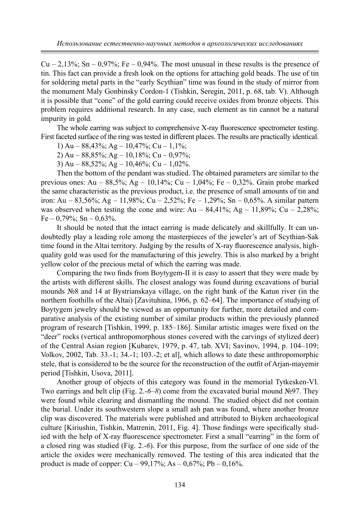$Cu - 2,13\%$ ; Sn – 0,97%; Fe – 0,94%. The most unusual in these results is the presence of tin. This fact can provide a fresh look on the options for attaching gold beads. The use of tin for soldering metal parts in the "early Scythian" time was found in the study of mirror from the monument Maly Gonbinsky Cordon-1 (Tishkin, Seregin, 2011, p. 68, tab. V). Although it is possible that "cone" of the gold earring could receive oxides from bronze objects. This problem requires additional research. In any case, such element as tin cannot be a natural impurity in gold.

The whole earring was subject to comprehensive X-ray fluorescence spectrometer testing. First faceted surface of the ring was tested in different places. The results are practically identical.

1) Au –  $88,43\%$ ; Ag –  $10,47\%$ ; Cu –  $1,1\%$ ;

2) Au –  $88,85\%$ ; Ag –  $10,18\%$ ; Cu –  $0,97\%$ ;

3) Au –  $88,52\%$ ; Ag –  $10,46\%$ ; Cu –  $1,02\%$ .

Then the bottom of the pendant was studied. The obtained parameters are similar to the previous ones: Au – 88,5%; Ag – 10,14%; Cu – 1,04%; Fe – 0,32%. Grain probe marked the same characteristic as the previous product, i.e. the presence of small amounts of tin and iron: Au – 83,56%; Ag – 11,98%; Cu – 2,52%; Fe – 1,29%; Sn – 0,65%. A similar pattern was observed when testing the cone and wire:  $Au - 84.41\%$ ;  $Ag - 11.89\%$ ;  $Cu - 2.28\%$ ;  $Fe - 0.79\%$ ; Sn  $- 0.63\%$ .

It should be noted that the intact earring is made delicately and skillfully. It can undoubtedly play a leading role among the masterpieces of the jeweler's art of Scythian-Sak time found in the Altai territory. Judging by the results of X-ray fluorescence analysis, highquality gold was used for the manufacturing of this jewelry. This is also marked by a bright yellow color of the precious metal of which the earring was made.

Comparing the two finds from Boytygem-II it is easy to assert that they were made by the artists with different skills. The closest analogy was found during excavations of burial mounds №8 and 14 at Bystrianskaya village, on the right bank of the Katun river (in the northern foothills of the Altai) [Zavituhina, 1966, p. 62–64]. The importance of studying of Boytygem jewelry should be viewed as an opportunity for further, more detailed and comparative analysis of the existing number of similar products within the previously planned program of research [Tishkin, 1999, p. 185–186]. Similar artistic images were fixed on the "deer" rocks (vertical anthropomorphous stones covered with the carvings of stylized deer) of the Central Asian region [Kubarev, 1979, p. 47, tab. XVI; Savinov, 1994, p. 104–109; Volkov, 2002, Tab. 33.-1; 34.-1; 103.-2; et al], which allows to date these anthropomorphic stele, that is considered to be the source for the reconstruction of the outfit of Arjan-mayemir period [Tishkin, Usova, 2011].

Another group of objects of this category was found in the memorial Tytkesken-VI. Two earrings and belt clip (Fig. 2.-*6–8*) come from the excavated burial mound №97. They were found while clearing and dismantling the mound. The studied object did not contain the burial. Under its southwestern slope a small ash pan was found, where another bronze clip was discovered. The materials were published and attributed to Biyken archaeological culture [Kiriushin, Tishkin, Matrenin, 2011, Fig. 4]. Those findings were specifically studied with the help of X-ray fluorescence spectrometer. First a small "earring" in the form of a closed ring was studied (Fig. 2.-*6*). For this purpose, from the surface of one side of the article the oxides were mechanically removed. The testing of this area indicated that the product is made of copper:  $Cu - 99,17\%$ ; As  $- 0,67\%$ ; Pb  $- 0,16\%$ .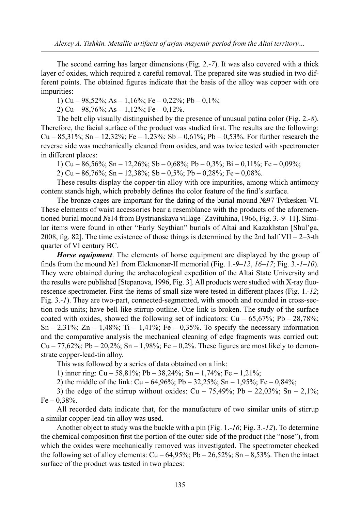The second earring has larger dimensions (Fig. 2.-*7*). It was also covered with a thick layer of oxides, which required a careful removal. The prepared site was studied in two different points. The obtained figures indicate that the basis of the alloy was copper with ore impurities:

1) Cu – 98,52%; As – 1,16%; Fe – 0,22%; Pb – 0,1%;

2) Cu – 98,76%; As – 1,12%; Fe – 0,12%.

The belt clip visually distinguished by the presence of unusual patina color (Fig. 2.-*8*). Therefore, the facial surface of the product was studied first. The results are the following: Cu – 85,31%; Sn – 12,32%; Fe – 1,23%; Sb – 0,61%; Pb – 0,53%. For further research the reverse side was mechanically cleaned from oxides, and was twice tested with spectrometer in different places:

1) Cu – 86,56%; Sn – 12,26%; Sb – 0,68%; Pb – 0,3%; Bi – 0,11%; Fe – 0,09%;

2) Cu – 86,76%; Sn – 12,38%; Sb – 0,5%; Pb – 0,28%; Fe – 0,08%.

These results display the copper-tin alloy with ore impurities, among which antimony content stands high, which probably defines the color feature of the find's surface.

The bronze cages are important for the dating of the burial mound №97 Tytkesken-VI. These elements of waist accessories bear a resemblance with the products of the aforementioned burial mound №14 from Bystrianskaya village [Zavituhina, 1966, Fig. 3.-9–11]. Similar items were found in other "Early Scythian" burials of Altai and Kazakhstan [Shul'ga, 2008, fig. 82]. The time existence of those things is determined by the 2nd half VII –  $2-3$ -th quarter of VI century BC.

*Horse equipment*. The elements of horse equipment are displayed by the group of finds from the mound №1 from Elekmonar-II memorial (Fig. 1.-*9–12*, *16–17*; Fig. 3.-*1–10*). They were obtained during the archaeological expedition of the Altai State University and the results were published [Stepanova, 1996, Fig. 3]. All products were studied with X-ray fluorescence spectrometer. First the items of small size were tested in different places (Fig. 1.-*12*; Fig. 3.-*1*). They are two-part, connected-segmented, with smooth and rounded in cross-section rods units; have bell-like stirrup outline. One link is broken. The study of the surface coated with oxides, showed the following set of indicators:  $Cu - 65,67\%$ ; Pb  $-28,78\%$ ; Sn – 2,31%; Zn – 1,48%; Ti – 1,41%; Fe – 0,35%. To specify the necessary information and the comparative analysis the mechanical cleaning of edge fragments was carried out: Cu – 77,62%; Pb – 20,2%; Sn – 1,98%; Fe – 0,2%. These figures are most likely to demonstrate copper-lead-tin alloy.

This was followed by a series of data obtained on a link:

1) inner ring:  $Cu - 58,81\%$ ; Pb – 38,24%; Sn – 1,74%; Fe – 1,21%;

2) the middle of the link:  $Cu - 64,96\%$ ; Pb  $- 32,25\%$ ; Sn  $- 1,95\%$ ; Fe  $- 0,84\%$ ;

3) the edge of the stirrup without oxides:  $Cu - 75,49\%$ ; Pb  $- 22,03\%$ ; Sn  $- 2,1\%$ ;  $Fe - 0.38\%$ .

All recorded data indicate that, for the manufacture of two similar units of stirrup a similar copper-lead-tin alloy was used.

Another object to study was the buckle with a pin (Fig. 1.-*16*; Fig. 3.-*12*). To determine the chemical composition first the portion of the outer side of the product (the "nose"), from which the oxides were mechanically removed was investigated. The spectrometer checked the following set of alloy elements:  $Cu - 64,95\%$ ;  $Pb - 26,52\%$ ; Sn  $- 8,53\%$ . Then the intact surface of the product was tested in two places: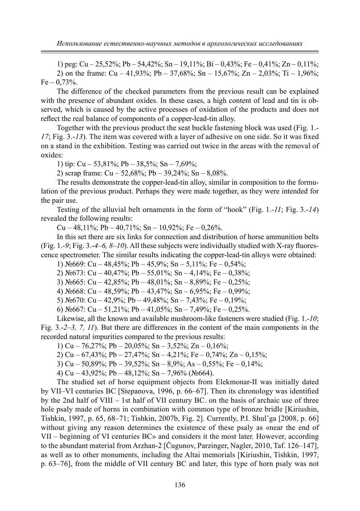1) peg: Cu – 25,52%; Pb – 54,42%; Sn – 19,11%; Bi – 0,43%; Fe – 0,41%; Zn – 0,11%; 2) on the frame:  $Cu - 41.93\%$ ;  $Pb - 37.68\%$ ;  $Sn - 15.67\%$ ;  $Zn - 2.03\%$ ;  $Ti - 1.96\%$ ;  $Fe - 0,73%$ .

The difference of the checked parameters from the previous result can be explained with the presence of abundant oxides. In these cases, a high content of lead and tin is observed, which is caused by the active processes of oxidation of the products and does not reflect the real balance of components of a copper-lead-tin alloy.

Together with the previous product the seat buckle fastening block was used (Fig. 1.- *17*; Fig. 3.-*13*). The item was covered with a layer of adhesive on one side. So it was fixed on a stand in the exhibition. Testing was carried out twice in the areas with the removal of oxides:

1) tip: Cu – 53,81%; Pb – 38,5%; Sn – 7,69%;

2) scrap frame:  $Cu - 52,68\%$ ; Pb  $- 39,24\%$ ; Sn  $- 8,08\%$ .

The results demonstrate the copper-lead-tin alloy, similar in composition to the formulation of the previous product. Perhaps they were made together, as they were intended for the pair use.

Testing of the alluvial belt ornaments in the form of "hook" (Fig. 1.-*11*; Fig. 3.-*14*) revealed the following results:

Cu – 48,11%; Pb – 40,71%; Sn – 10,92%; Fe – 0,26%.

In this set there are six links for connection and distribution of horse ammunition belts (Fig. 1.-*9*; Fig. 3.-*4–6, 8–10*). All these subjects were individually studied with X-ray fluorescence spectrometer. The similar results indicating the copper-lead-tin alloys were obtained:

1)  $N_2$ 669: Cu – 48,45%; Pb – 45,9%; Sn – 5,11%; Fe – 0,54%;

2)  $\text{Ne}673$ : Cu – 40,47%; Pb – 55,01%; Sn – 4,14%; Fe – 0,38%;

3)  $N\leq 665$ : Cu – 42,85%; Pb – 48,01%; Sn – 8,89%; Fe – 0,25%;

4) №668: Cu – 48,59%; Pb – 43,47%; Sn – 6,95%; Fe – 0,99%;

5) №670: Cu – 42,9%; Pb – 49,48%; Sn – 7,43%; Fe – 0,19%;

6)  $\text{N}_2$ 667: Cu – 51,21%; Pb – 41,05%; Sn – 7,49%; Fe – 0,25%.

Likewise, all the known and available mushroom-like fasteners were studied (Fig. 1.-*10*; Fig. 3.-*2–3, 7, 11*). But there are differences in the content of the main components in the recorded natural impurities compared to the previous results:

1) Cu – 76,27%; Pb – 20,05%; Sn – 3,52%; Zn – 0,16%;

2) Cu – 67,43%; Pb – 27,47%; Sn – 4,21%; Fe – 0,74%; Zn – 0,15%;

3) Cu – 50,89%; Pb – 39,52%; Sn – 8,9%; As – 0,55%; Fe – 0,14%;

4) Cu – 43,92%; Pb – 48,12%; Sn – 7,96% ( $N_2$ 664).

The studied set of horse equipment objects from Elekmonar-II was initially dated by VII–VI centuries BC [Stepanova, 1996, p. 66–67]. Then its chronology was identified by the 2nd half of VIII – 1st half of VII century BC. on the basis of archaic use of three hole psaly made of horns in combination with common type of bronze bridle [Kiriushin, Tishkin, 1997, p. 65, 68–71; Tishkin, 2007b, Fig. 2]. Currently, P.I. Shul'ga [2008, p. 66] without giving any reason determines the existence of these psaly as «near the end of VII – beginning of VI centuries BC» and considers it the most later. However, according to the abundant material from Arzhan-2 [Čugunov, Parzinger, Nagler, 2010, Taf. 126–147], as well as to other monuments, including the Altai memorials [Kiriushin, Tishkin, 1997, p. 63–76], from the middle of VII century BC and later, this type of horn psaly was not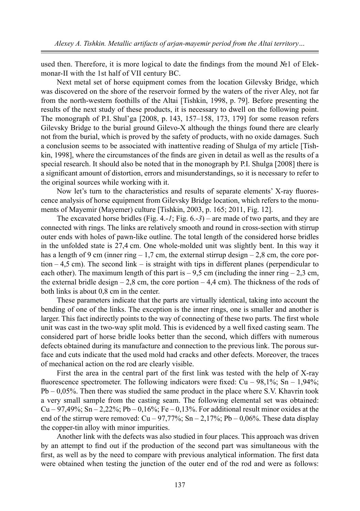used then. Therefore, it is more logical to date the findings from the mound №1 of Elekmonar-II with the 1st half of VII century BC.

Next metal set of horse equipment comes from the location Gilevsky Bridge, which was discovered on the shore of the reservoir formed by the waters of the river Aley, not far from the north-western foothills of the Altai [Tishkin, 1998, p. 79]. Before presenting the results of the next study of these products, it is necessary to dwell on the following point. The monograph of P.I. Shul'ga [2008, p. 143, 157–158, 173, 179] for some reason refers Gilevsky Bridge to the burial ground Gilevo-X although the things found there are clearly not from the burial, which is proved by the safety of products, with no oxide damages. Such a conclusion seems to be associated with inattentive reading of Shulga of my article [Tishkin, 1998], where the circumstances of the finds are given in detail as well as the results of a special research. It should also be noted that in the monograph by P.I. Shulga [2008] there is a significant amount of distortion, errors and misunderstandings, so it is necessary to refer to the original sources while working with it.

Now let's turn to the characteristics and results of separate elements' X-ray fluorescence analysis of horse equipment from Gilevsky Bridge location, which refers to the monuments of Mayemir (Mayemer) culture [Tishkin, 2003, p. 165; 2011, Fig. 12].

The excavated horse bridles (Fig. 4.-*1*; Fig. 6.-*3*) – are made of two parts, and they are connected with rings. The links are relatively smooth and round in cross-section with stirrup outer ends with holes of pawn-like outline. The total length of the considered horse bridles in the unfolded state is 27,4 cm. One whole-molded unit was slightly bent. In this way it has a length of 9 cm (inner ring  $-1,7$  cm, the external stirrup design  $-2,8$  cm, the core portion  $-4.5$  cm). The second link – is straight with tips in different planes (perpendicular to each other). The maximum length of this part is  $-9.5$  cm (including the inner ring  $-2.3$  cm, the external bridle design  $-2.8$  cm, the core portion  $-4.4$  cm). The thickness of the rods of both links is about 0,8 cm in the center.

These parameters indicate that the parts are virtually identical, taking into account the bending of one of the links. The exception is the inner rings, one is smaller and another is larger. This fact indirectly points to the way of connecting of these two parts. The first whole unit was cast in the two-way split mold. This is evidenced by a well fixed casting seam. The considered part of horse bridle looks better than the second, which differs with numerous defects obtained during its manufacture and connection to the previous link. The porous surface and cuts indicate that the used mold had cracks and other defects. Moreover, the traces of mechanical action on the rod are clearly visible.

First the area in the central part of the first link was tested with the help of X-ray fluorescence spectrometer. The following indicators were fixed:  $Cu - 98,1\%$ ; Sn – 1,94%; Pb – 0,05%. Then there was studied the same product in the place where S.V. Khavrin took a very small sample from the casting seam. The following elemental set was obtained: Cu – 97,49%; Sn – 2,22%; Pb – 0,16%; Fe – 0,13%. For additional result minor oxides at the end of the stirrup were removed:  $Cu - 97,77\%$ ;  $Sn - 2,17\%$ ;  $Pb - 0,06\%$ . These data display the copper-tin alloy with minor impurities.

Another link with the defects was also studied in four places. This approach was driven by an attempt to find out if the production of the second part was simultaneous with the first, as well as by the need to compare with previous analytical information. The first data were obtained when testing the junction of the outer end of the rod and were as follows: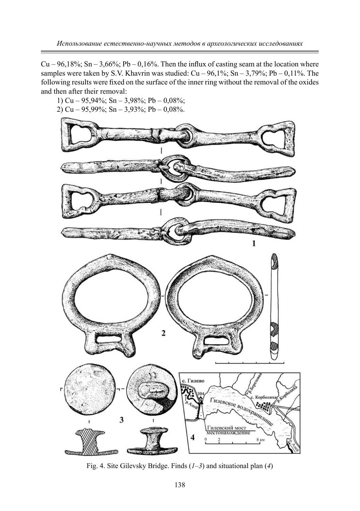Cu – 96,18%; Sn – 3,66%; Pb – 0,16%. Then the influx of casting seam at the location where samples were taken by S.V. Khavrin was studied:  $Cu - 96,1\%$ ;  $Sn - 3,79\%$ ; Pb – 0,11%. The following results were fixed on the surface of the inner ring without the removal of the oxides and then after their removal:

1) Cu – 95,94%; Sn – 3,98%; Pb – 0,08%; 2) Cu – 95,99%; Sn – 3,93%; Pb – 0,08%.



Fig. 4. Site Gilevsky Bridge. Finds (*1–3*) and situational plan (*4*)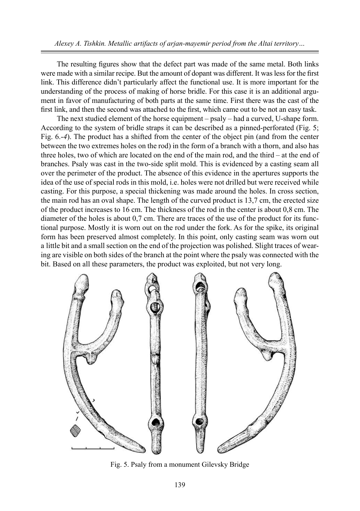*Alexey А. Tishkin. Metallic artifacts of arjan-mayemir period from the Altai territory…*

The resulting figures show that the defect part was made of the same metal. Both links were made with a similar recipe. But the amount of dopant was different. It was less for the first link. This difference didn't particularly affect the functional use. It is more important for the understanding of the process of making of horse bridle. For this case it is an additional argument in favor of manufacturing of both parts at the same time. First there was the cast of the first link, and then the second was attached to the first, which came out to be not an easy task.

The next studied element of the horse equipment – psaly – had a curved, U-shape form. According to the system of bridle straps it can be described as a pinned-perforated (Fig. 5; Fig. 6.-*4*). The product has a shifted from the center of the object pin (and from the center between the two extremes holes on the rod) in the form of a branch with a thorn, and also has three holes, two of which are located on the end of the main rod, and the third – at the end of branches. Psaly was cast in the two-side split mold. This is evidenced by a casting seam all over the perimeter of the product. The absence of this evidence in the apertures supports the idea of the use of special rods in this mold, i.e. holes were not drilled but were received while casting. For this purpose, a special thickening was made around the holes. In cross section, the main rod has an oval shape. The length of the curved product is 13,7 cm, the erected size of the product increases to 16 cm. The thickness of the rod in the center is about 0,8 cm. The diameter of the holes is about 0,7 cm. There are traces of the use of the product for its functional purpose. Mostly it is worn out on the rod under the fork. As for the spike, its original form has been preserved almost completely. In this point, only casting seam was worn out a little bit and a small section on the end of the projection was polished. Slight traces of wearing are visible on both sides of the branch at the point where the psaly was connected with the bit. Based on all these parameters, the product was exploited, but not very long.



Fig. 5. Psaly from a monument Gilevsky Bridge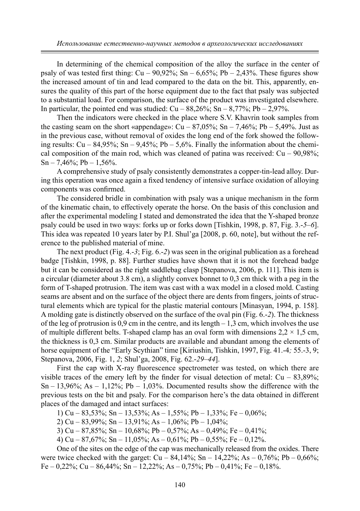In determining of the chemical composition of the alloy the surface in the center of psaly of was tested first thing:  $Cu - 90,92\%$ ; Sn – 6,65%; Pb – 2,43%. These figures show the increased amount of tin and lead compared to the data on the bit. This, apparently, ensures the quality of this part of the horse equipment due to the fact that psaly was subjected to a substantial load. For comparison, the surface of the product was investigated elsewhere. In particular, the pointed end was studied:  $Cu - 88,26\%$ ; Sn –  $8,77\%$ ; Pb – 2,97%.

Then the indicators were checked in the place where S.V. Khavrin took samples from the casting seam on the short «appendage»:  $Cu - 87,05\%$ ; Sn – 7,46%; Pb – 5,49%. Just as in the previous case, without removal of oxides the long end of the fork showed the following results:  $Cu - 84.95\%$ ;  $Sn - 9.45\%$ ;  $Pb - 5.6\%$ . Finally the information about the chemical composition of the main rod, which was cleaned of patina was received:  $Cu - 90.98\%$ ;  $Sn - 7,46\%$ ; Pb  $- 1,56\%$ .

A comprehensive study of psaly consistently demonstrates a copper-tin-lead alloy. During this operation was once again a fixed tendency of intensive surface oxidation of alloying components was confirmed.

The considered bridle in combination with psaly was a unique mechanism in the form of the kinematic chain, to effectively operate the horse. On the basis of this conclusion and after the experimental modeling I stated and demonstrated the idea that the Y-shaped bronze psaly could be used in two ways: forks up or forks down [Tishkin, 1998, p. 87, Fig. 3.-*5–6*]. This idea was repeated 10 years later by P.I. Shul'ga [2008, p. 60, note], but without the reference to the published material of mine.

The next product (Fig. 4.-*3*; Fig. 6.-*2*) was seen in the original publication as a forehead badge [Tishkin, 1998, p. 88]. Further studies have shown that it is not the forehead badge but it can be considered as the right saddlebag clasp [Stepanova, 2006, p. 111]. This item is a circular (diameter about 3.8 cm), a slightly convex bonnet to 0,3 cm thick with a peg in the form of T-shaped protrusion. The item was cast with a wax model in a closed mold. Casting seams are absent and on the surface of the object there are dents from fingers, joints of structural elements which are typical for the plastic material contours [Minasyan, 1994, p. 158]. A molding gate is distinctly observed on the surface of the oval pin (Fig. 6.-*2*). The thickness of the leg of protrusion is  $0.9 \text{ cm}$  in the centre, and its length  $-1.3 \text{ cm}$ , which involves the use of multiple different belts. T-shaped clamp has an oval form with dimensions  $2.2 \times 1.5$  cm, the thickness is 0,3 cm. Similar products are available and abundant among the elements of horse equipment of the "Early Scythian" time [Kiriushin, Tishkin, 1997, Fig. 41.-4*;* 55.-3, 9; Stepanova, 2006, Fig. 1, *2*; Shul'ga, 2008, Fig. 62.-*29–44*].

First the cap with X-ray fluorescence spectrometer was tested, on which there are visible traces of the emery left by the finder for visual detection of metal:  $Cu - 83,89\%$ ;  $Sn - 13,96\%$ ; As  $- 1,12\%$ ; Pb  $- 1,03\%$ . Documented results show the difference with the previous tests on the bit and psaly. For the comparison here's the data obtained in different places of the damaged and intact surfaces:

1) Cu – 83,53%; Sn – 13,53%; As – 1,55%; Pb – 1,33%; Fe – 0,06%;

2) Cu – 83,99%; Sn – 13,91%; As – 1,06%; Pb – 1,04%;

3) Cu – 87,85%; Sn – 10,68%; Pb – 0,57%; As – 0,49%; Fe – 0,41%;

4) Cu – 87,67%; Sn – 11,05%; As – 0,61%; Pb – 0,55%; Fe – 0,12%.

One of the sites on the edge of the cap was mechanically released from the oxides. There were twice checked with the garget:  $Cu - 84,14\%$ ; Sn  $- 14,22\%$ ; As  $- 0,76\%$ ; Pb  $- 0,66\%$ ; Fe – 0,22%; Cu – 86,44%; Sn – 12,22%; As – 0,75%; Pb – 0,41%; Fe – 0,18%.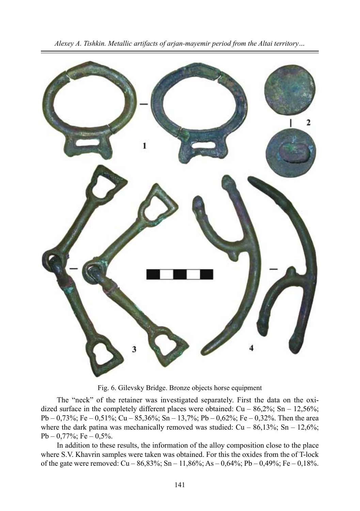

Fig. 6. Gilevsky Bridge. Bronze objects horse equipment

The "neck" of the retainer was investigated separately. First the data on the oxidized surface in the completely different places were obtained:  $Cu - 86,2\%$ ; Sn – 12,56%; Pb – 0,73%; Fe – 0,51%; Cu – 85,36%; Sn – 13,7%; Pb – 0,62%; Fe – 0,32%. Then the area where the dark patina was mechanically removed was studied:  $Cu - 86,13\%$ ; Sn – 12,6%;  $Pb - 0.77\%$ ; Fe  $- 0.5\%$ .

In addition to these results, the information of the alloy composition close to the place where S.V. Khavrin samples were taken was obtained. For this the oxides from the of T-lock of the gate were removed:  $Cu - 86,83\%$ ; Sn – 11,86%; As – 0,64%; Pb – 0,49%; Fe – 0,18%.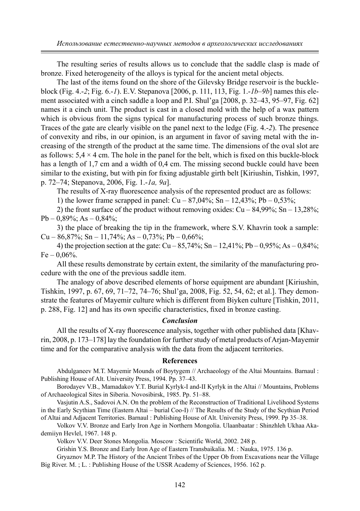The resulting series of results allows us to conclude that the saddle clasp is made of bronze. Fixed heterogeneity of the alloys is typical for the ancient metal objects.

The last of the items found on the shore of the Gilevsky Bridge reservoir is the buckleblock (Fig. 4.-*2*; Fig. 6.-*1*). E.V. Stepanova [2006, p. 111, 113, Fig. 1.-*1b–9b*] names this element associated with a cinch saddle a loop and P.I. Shul'ga [2008, p. 32–43, 95–97, Fig. 62] names it a cinch unit. The product is cast in a closed mold with the help of a wax pattern which is obvious from the signs typical for manufacturing process of such bronze things. Traces of the gate are clearly visible on the panel next to the ledge (Fig. 4.-*2*). The presence of convexity and ribs, in our opinion, is an argument in favor of saving metal with the increasing of the strength of the product at the same time. The dimensions of the oval slot are as follows:  $5.4 \times 4$  cm. The hole in the panel for the belt, which is fixed on this buckle-block has a length of 1,7 cm and a width of 0,4 cm. The missing second buckle could have been similar to the existing, but with pin for fixing adjustable girth belt [Kiriushin, Tishkin, 1997, p. 72–74; Stepanova, 2006, Fig. 1.-*1a, 9a*].

The results of X-ray fluorescence analysis of the represented product are as follows:

1) the lower frame scrapped in panel:  $Cu - 87,04\%$ ; Sn – 12,43%; Pb – 0,53%;

2) the front surface of the product without removing oxides:  $Cu - 84.99\%$ ; Sn – 13,28%;  $Pb - 0,89\%$ ; As  $- 0,84\%$ ;

3) the place of breaking the tip in the framework, where S.V. Khavrin took a sample: Cu – 86,87%; Sn – 11,74%; As – 0,73%; Pb – 0,66%;

4) the projection section at the gate:  $Cu - 85,74\%$ ;  $Sn - 12,41\%$ ;  $Pb - 0,95\%$ ; As  $- 0.84\%$ ;  $Fe - 0.06\%$ .

All these results demonstrate by certain extent, the similarity of the manufacturing procedure with the one of the previous saddle item.

The analogy of above described elements of horse equipment are abundant [Kiriushin, Tishkin, 1997, p. 67, 69, 71–72, 74–76; Shul'ga, 2008, Fig. 52, 54, 62; et al.]. They demonstrate the features of Mayemir culture which is different from Biyken culture [Tishkin, 2011, p. 288, Fig. 12] and has its own specific characteristics, fixed in bronze casting.

### *Conclusion*

All the results of X-ray fluorescence analysis, together with other published data [Khavrin, 2008, p. 173–178] lay the foundation for further study of metal products of Arjan-Mayemir time and for the comparative analysis with the data from the adjacent territories.

#### **References**

Abdulganeev M.T. Mayemir Mounds of Boytygem // Archaeology of the Altai Mountains. Barnaul : Publishing House of Alt. University Press, 1994. Pp. 37–43.

Borodayev V.B., Mamadakov Y.T. Burial Kyrlyk-I and-II Kyrlyk in the Altai // Mountains, Problems of Archaeological Sites in Siberia. Novosibirsk, 1985. Pp. 51–88.

Vasjutin A.S., Sadovoi A.N. On the problem of the Reconstruction of Traditional Livelihood Systems in the Early Scythian Time (Eastern Altai – burial Coo-I) // The Results of the Study of the Scythian Period of Altai and Adjacent Territories. Barnaul : Publishing House of Alt. University Press, 1999. Pp 35–38.

Volkov V.V. Bronze and Early Iron Age in Northern Mongolia. Ulaanbaatar : Shinzhleh Ukhaa Akademiiyn Hevlel, 1967. 148 p.

Volkov V.V. Deer Stones Mongolia. Moscow : Scientific World, 2002. 248 p.

Grishin Y.S. Bronze and Early Iron Age of Eastern Transbaikalia. M. : Nauka, 1975. 136 p.

Gryaznov M.P. The History of the Ancient Tribes of the Upper Ob from Excavations near the Village Big River. M. ; L. : Publishing House of the USSR Academy of Sciences, 1956. 162 p.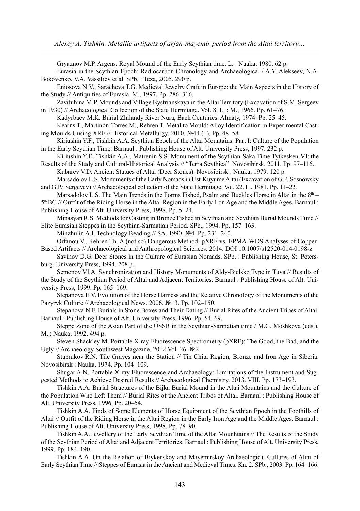Gryaznov M.P. Argens. Royal Mound of the Early Scythian time. L. : Nauka, 1980. 62 p. Eurasia in the Scythian Epoch: Radiocarbon Chronology and Archaeological / A.Y. Alekseev, N.A. Bokovenko, V.A. Vassiliev et al. SPb. : Teza, 2005. 290 p. Eniosova N.V., Saracheva T.G. Medieval Jewelry Craft in Europe: the Main Aspects in the History of the Study // Antiquities of Eurasia. M., 1997. Pp. 286–316. Zavituhina M.P. Mounds and Village Bystrianskaya in the Altai Territory (Excavation of S.M. Sergeev in 1930) // Archaeological Collection of the State Hermitage. Vol. 8. L. ; M., 1966. Pp. 61–76. Kadyrbaev M.K. Burial Zhilandy River Nura, Back Centuries. Almaty, 1974. Pp. 25–45. Kearns T., Martinón-Torres M., Rehren T. Metal to Mould: Alloy Identification in Experimental Casting Moulds Uusing XRF // Historical Metallurgy. 2010. №44 (1). Pp. 48–58. Kiriushin Y.F., Tishkin A.A. Scythian Epoch of the Altai Mountains. Part I: Culture of the Population in the Early Scythian Time. Barnaul : Publishing House of Alt. University Press, 1997. 232 p. Kiriushin Y.F., Tishkin A.A., Matrenin S.S. Monument of the Scythian-Saka Time Tytkesken-VI: the Results of the Study and Cultural-Historical Analysis // "Terra Scythica". Novosibirsk, 2011. Pp. 97–116. Kubarev V.D. Ancient Statues of Altai (Deer Stones). Novosibirsk : Nauka, 1979. 120 p. Marsadolov L.S. Monuments of the Early Nomads in Ust-Kuyume Altai (Excavation of G.P. Sosnowsky and G.P.i Sergeyev) // Archaeological collection of the State Hermitage. Vol. 22. L., 1981. Pp. 11–22. Marsadolov L.S. The Main Trends in the Forms Fished, Psalm and Buckles Horse in Altai in the  $8<sup>th</sup>$  – 5th BC // Outfit of the Riding Horse in the Altai Region in the Early Iron Age and the Middle Ages. Barnaul : Publishing House of Alt. University Press, 1998. Pp. 5–24. Minasyan R.S. Methods for Casting in Bronze Fished in Scythian and Scythian Burial Mounds Time // Elite Eurasian Steppes in the Scythian-Sarmatian Period. SPb., 1994. Pp. 157–163. Minzhulin A.I. Technology Beading // SA. 1990. №4. Pp. 231–240. Orfanou V., Rehren Th. A (not so) Dangerous Method: pXRF vs. EPMA-WDS Analyses of Copper-Based Artifacts // Archaeological and Anthropological Sciences. 2014. DOI 10.1007/s12520-014-0198-z Savinov D.G. Deer Stones in the Culture of Eurasian Nomads. SPb. : Publishing House, St. Petersburg. University Press, 1994. 208 p. Semenov Vl.A. Synchronization and History Monuments of Aldy-Bielsko Type in Tuva // Results of the Study of the Scythian Period of Altai and Adjacent Territories. Barnaul : Publishing House of Alt. University Press, 1999. Pp. 165–169. Stepanova E.V. Evolution of the Horse Harness and the Relative Chronology of the Monuments of the Pazyryk Culture // Archaeological News. 2006. №13. Pp. 102–150. Stepanova N.F. Burials in Stone Boxes and Their Dating // Burial Rites of the Ancient Tribes of Altai. Barnaul : Publishing House of Alt. University Press, 1996. Pp. 54–69. Steppe Zone of the Asian Part of the USSR in the Scythian-Sarmatian time / M.G. Moshkova (eds.). M. : Nauka, 1992. 494 p. Steven Shackley M. Portable X-ray Fluorescence Spectrometry (pXRF): The Good, the Bad, and the

Ugly // Archaeology Southwest Magazine. 2012.Vol. 26. №2. Stupnikov R.N. Tile Graves near the Station // Tin Chita Region, Bronze and Iron Age in Siberia.

Novosibirsk : Nauka, 1974. Pp. 104–109.

Shugar A.N. Portable X-ray Fluorescence and Archaeology: Limitations of the Instrument and Suggested Methods to Achieve Desired Results // Archaeological Chemistry. 2013. VIII. Pp. 173–193.

Tishkin A.A. Burial Structures of the Bijka Burial Mound in the Altai Mountains and the Culture of the Population Who Left Them // Burial Rites of the Ancient Tribes of Altai. Barnaul : Publishing House of Alt. University Press, 1996. Pp. 20–54.

Tishkin A.A. Finds of Some Elements of Horse Equipment of the Scythian Epoch in the Foothills of Altai // Outfit of the Riding Horse in the Altai Region in the Early Iron Age and the Middle Ages. Barnaul : Publishing House of Alt. University Press, 1998. Pp. 78–90.

Tishkin A.A. Jewellery of the Early Scythian Time of the Altai Mounhtains // The Results of the Study of the Scythian Period of Altai and Adjacent Territories. Barnaul : Publishing House of Alt. University Press, 1999. Pp. 184–190.

Tishkin A.A. On the Relation of Biykenskoy and Mayemirskoy Archaeological Cultures of Altai of Early Scythian Time // Steppes of Eurasia in the Ancient and Medieval Times. Kn. 2. SPb., 2003. Pp. 164–166.